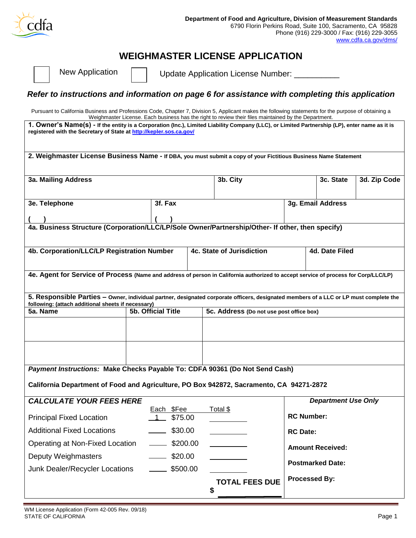

# **WEIGHMASTER LICENSE APPLICATION**

New Application  $\Box$  Update Application License Number:

### *Refer to instructions and information on page 6 for assistance with completing this application*

Pursuant to California Business and Professions Code, Chapter 7, Division 5, Applicant makes the following statements for the purpose of obtaining a Weighmaster License. Each business has the right to review their files maintained by the Department.

| Weighmaster License. Each business has the right to review their files maintained by the Department.<br>1. Owner's Name(s) - If the entity is a Corporation (Inc.), Limited Liability Company (LLC), or Limited Partnership (LP), enter name as it is<br>registered with the Secretary of State at http://kepler.sos.ca.gov/ |  |                         |  |                                             |                   |                            |              |
|------------------------------------------------------------------------------------------------------------------------------------------------------------------------------------------------------------------------------------------------------------------------------------------------------------------------------|--|-------------------------|--|---------------------------------------------|-------------------|----------------------------|--------------|
| 2. Weighmaster License Business Name - If DBA, you must submit a copy of your Fictitious Business Name Statement                                                                                                                                                                                                             |  |                         |  |                                             |                   |                            |              |
| 3a. Mailing Address                                                                                                                                                                                                                                                                                                          |  |                         |  | 3b. City                                    |                   | 3c. State                  | 3d. Zip Code |
| 3e. Telephone                                                                                                                                                                                                                                                                                                                |  | 3f. Fax                 |  |                                             |                   | 3g. Email Address          |              |
|                                                                                                                                                                                                                                                                                                                              |  |                         |  |                                             |                   |                            |              |
| 4a. Business Structure (Corporation/LLC/LP/Sole Owner/Partnership/Other- If other, then specify)                                                                                                                                                                                                                             |  |                         |  |                                             |                   |                            |              |
| 4b. Corporation/LLC/LP Registration Number                                                                                                                                                                                                                                                                                   |  |                         |  | 4d. Date Filed<br>4c. State of Jurisdiction |                   |                            |              |
| 4e. Agent for Service of Process (Name and address of person in California authorized to accept service of process for Corp/LLC/LP)                                                                                                                                                                                          |  |                         |  |                                             |                   |                            |              |
| 5. Responsible Parties - Owner, individual partner, designated corporate officers, designated members of a LLC or LP must complete the<br>following: (attach additional sheets if necessary)                                                                                                                                 |  |                         |  |                                             |                   |                            |              |
| 5a. Name                                                                                                                                                                                                                                                                                                                     |  | 5b. Official Title      |  | 5c. Address (Do not use post office box)    |                   |                            |              |
|                                                                                                                                                                                                                                                                                                                              |  |                         |  |                                             |                   |                            |              |
|                                                                                                                                                                                                                                                                                                                              |  |                         |  |                                             |                   |                            |              |
| Payment Instructions: Make Checks Payable To: CDFA 90361 (Do Not Send Cash)                                                                                                                                                                                                                                                  |  |                         |  |                                             |                   |                            |              |
| California Department of Food and Agriculture, PO Box 942872, Sacramento, CA 94271-2872                                                                                                                                                                                                                                      |  |                         |  |                                             |                   |                            |              |
| <b>CALCULATE YOUR FEES HERE</b>                                                                                                                                                                                                                                                                                              |  |                         |  |                                             |                   | <b>Department Use Only</b> |              |
| <b>Principal Fixed Location</b>                                                                                                                                                                                                                                                                                              |  | Each \$Fee<br>1 \$75.00 |  | Total \$                                    | <b>RC Number:</b> |                            |              |
| <b>Additional Fixed Locations</b>                                                                                                                                                                                                                                                                                            |  | \$30.00                 |  |                                             | <b>RC Date:</b>   |                            |              |
| Operating at Non-Fixed Location                                                                                                                                                                                                                                                                                              |  | $\frac{1}{200.00}$      |  |                                             |                   | <b>Amount Received:</b>    |              |

**Postmarked Date:**

**Processed By:**

**TOTAL FEES DUE**

 **\$** 

Deputy Weighmasters **\$20.00** 

Junk Dealer/Recycler Locations \_\_\_\_\_\_ \$500.00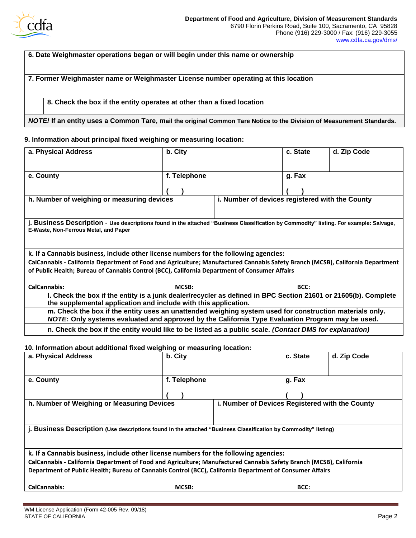

#### **6. Date Weighmaster operations began or will begin under this name or ownership**

#### **7. Former Weighmaster name or Weighmaster License number operating at this location**

#### **8. Check the box if the entity operates at other than a fixed location**

#### *NOTE!* **If an entity uses a Common Tare, mail the original Common Tare Notice to the Division of Measurement Standards.**

#### **9. Information about principal fixed weighing or measuring location:**

|           | a. Physical Address                                                                                                                                                                                         | b. City |              |  |        | c. State | d. Zip Code |
|-----------|-------------------------------------------------------------------------------------------------------------------------------------------------------------------------------------------------------------|---------|--------------|--|--------|----------|-------------|
|           |                                                                                                                                                                                                             |         |              |  |        |          |             |
| e. County |                                                                                                                                                                                                             |         | f. Telephone |  | g. Fax |          |             |
|           |                                                                                                                                                                                                             |         |              |  |        |          |             |
|           |                                                                                                                                                                                                             |         |              |  |        |          |             |
|           | h. Number of weighing or measuring devices<br>i. Number of devices registered with the County                                                                                                               |         |              |  |        |          |             |
|           | j. Business Description - Use descriptions found in the attached "Business Classification by Commodity" listing. For example: Salvage,<br>E-Waste, Non-Ferrous Metal, and Paper                             |         |              |  |        |          |             |
|           | k. If a Cannabis business, include other license numbers for the following agencies:                                                                                                                        |         |              |  |        |          |             |
|           | CalCannabis - California Department of Food and Agriculture; Manufactured Cannabis Safety Branch (MCSB), California Department                                                                              |         |              |  |        |          |             |
|           | of Public Health; Bureau of Cannabis Control (BCC), California Department of Consumer Affairs                                                                                                               |         |              |  |        |          |             |
|           | <b>CalCannabis:</b>                                                                                                                                                                                         |         | MCSB:        |  |        | BCC:     |             |
|           | I. Check the box if the entity is a junk dealer/recycler as defined in BPC Section 21601 or 21605(b). Complete<br>the supplemental application and include with this application.                           |         |              |  |        |          |             |
|           | m. Check the box if the entity uses an unattended weighing system used for construction materials only.<br>NOTE: Only systems evaluated and approved by the California Type Evaluation Program may be used. |         |              |  |        |          |             |
|           | n. Check the box if the entity would like to be listed as a public scale. (Contact DMS for explanation)                                                                                                     |         |              |  |        |          |             |

#### **10. Information about additional fixed weighing or measuring location:**

| a. Physical Address                                                                  | b. City      | c. State                                                                                                            | d. Zip Code |
|--------------------------------------------------------------------------------------|--------------|---------------------------------------------------------------------------------------------------------------------|-------------|
| e. County                                                                            | f. Telephone | g. Fax                                                                                                              |             |
|                                                                                      |              |                                                                                                                     |             |
| h. Number of Weighing or Measuring Devices                                           |              | i. Number of Devices Registered with the County                                                                     |             |
|                                                                                      |              |                                                                                                                     |             |
|                                                                                      |              | j. Business Description (Use descriptions found in the attached "Business Classification by Commodity" listing)     |             |
|                                                                                      |              |                                                                                                                     |             |
| k. If a Cannabis business, include other license numbers for the following agencies: |              |                                                                                                                     |             |
|                                                                                      |              | CalCannabis - California Department of Food and Agriculture; Manufactured Cannabis Safety Branch (MCSB), California |             |
|                                                                                      |              | Department of Public Health; Bureau of Cannabis Control (BCC), California Department of Consumer Affairs            |             |
| <b>CalCannabis:</b>                                                                  | MCSB:        | BCC:                                                                                                                |             |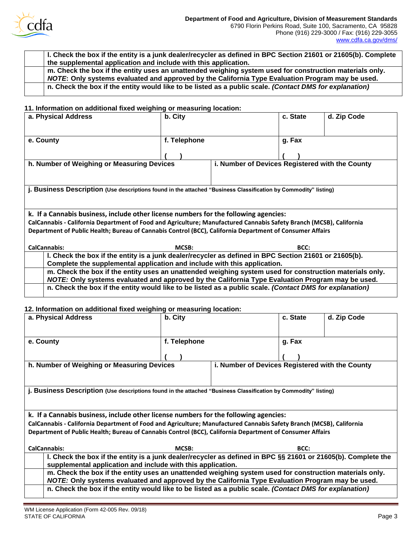

**l. Check the box if the entity is a junk dealer/recycler as defined in BPC Section 21601 or 21605(b). Complete the supplemental application and include with this application. m. Check the box if the entity uses an unattended weighing system used for construction materials only.** *NOTE***: Only systems evaluated and approved by the California Type Evaluation Program may be used. n. Check the box if the entity would like to be listed as a public scale.** *(Contact DMS for explanation)*

#### **11. Information on additional fixed weighing or measuring location:**

| a. Physical Address                                                                                                 | b. City                                                                                                 | c. State | d. Zip Code |  |  |  |  |
|---------------------------------------------------------------------------------------------------------------------|---------------------------------------------------------------------------------------------------------|----------|-------------|--|--|--|--|
| e. County                                                                                                           | f. Telephone                                                                                            | g. Fax   |             |  |  |  |  |
|                                                                                                                     |                                                                                                         |          |             |  |  |  |  |
|                                                                                                                     | h. Number of Weighing or Measuring Devices<br>i. Number of Devices Registered with the County           |          |             |  |  |  |  |
| j. Business Description (Use descriptions found in the attached "Business Classification by Commodity" listing)     |                                                                                                         |          |             |  |  |  |  |
| k. If a Cannabis business, include other license numbers for the following agencies:                                |                                                                                                         |          |             |  |  |  |  |
| CalCannabis - California Department of Food and Agriculture; Manufactured Cannabis Safety Branch (MCSB), California |                                                                                                         |          |             |  |  |  |  |
| Department of Public Health; Bureau of Cannabis Control (BCC), California Department of Consumer Affairs            |                                                                                                         |          |             |  |  |  |  |
| <b>CalCannabis:</b>                                                                                                 | MCSB:                                                                                                   | BCC:     |             |  |  |  |  |
| I. Check the box if the entity is a junk dealer/recycler as defined in BPC Section 21601 or 21605(b).               |                                                                                                         |          |             |  |  |  |  |
|                                                                                                                     | Complete the supplemental application and include with this application.                                |          |             |  |  |  |  |
|                                                                                                                     | m. Check the box if the entity uses an unattended weighing system used for construction materials only. |          |             |  |  |  |  |
|                                                                                                                     | NOTE: Only systems evaluated and approved by the California Type Evaluation Program may be used.        |          |             |  |  |  |  |
|                                                                                                                     | n. Check the box if the entity would like to be listed as a public scale. (Contact DMS for explanation) |          |             |  |  |  |  |

#### **12. Information on additional fixed weighing or measuring location:**

| a. Physical Address                                                                                                                                                          | b. City                                                                                                 |  | c. State | d. Zip Code |  |
|------------------------------------------------------------------------------------------------------------------------------------------------------------------------------|---------------------------------------------------------------------------------------------------------|--|----------|-------------|--|
| e. County                                                                                                                                                                    | f. Telephone                                                                                            |  | g. Fax   |             |  |
|                                                                                                                                                                              |                                                                                                         |  |          |             |  |
|                                                                                                                                                                              | h. Number of Weighing or Measuring Devices<br>i. Number of Devices Registered with the County           |  |          |             |  |
| j. Business Description (Use descriptions found in the attached "Business Classification by Commodity" listing)                                                              |                                                                                                         |  |          |             |  |
| k. If a Cannabis business, include other license numbers for the following agencies:                                                                                         |                                                                                                         |  |          |             |  |
| CalCannabis - California Department of Food and Agriculture; Manufactured Cannabis Safety Branch (MCSB), California                                                          |                                                                                                         |  |          |             |  |
| Department of Public Health; Bureau of Cannabis Control (BCC), California Department of Consumer Affairs                                                                     |                                                                                                         |  |          |             |  |
| <b>CalCannabis:</b>                                                                                                                                                          | MCSB:                                                                                                   |  | BCC:     |             |  |
| I. Check the box if the entity is a junk dealer/recycler as defined in BPC §§ 21601 or 21605(b). Complete the<br>supplemental application and include with this application. |                                                                                                         |  |          |             |  |
|                                                                                                                                                                              | m. Check the box if the entity uses an unattended weighing system used for construction materials only. |  |          |             |  |
| NOTE: Only systems evaluated and approved by the California Type Evaluation Program may be used.                                                                             |                                                                                                         |  |          |             |  |
|                                                                                                                                                                              | n. Check the box if the entity would like to be listed as a public scale. (Contact DMS for explanation) |  |          |             |  |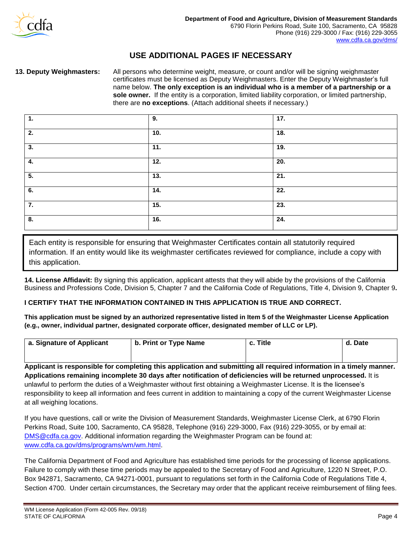

### **USE ADDITIONAL PAGES IF NECESSARY**

**13. Deputy Weighmasters:** All persons who determine weight, measure, or count and/or will be signing weighmaster certificates must be licensed as Deputy Weighmasters. Enter the Deputy Weighmaster's full name below. **The only exception is an individual who is a member of a partnership or a sole owner.** If the entity is a corporation, limited liability corporation, or limited partnership, there are **no exceptions**. (Attach additional sheets if necessary.)

| 1.               | 9.                | 17.               |
|------------------|-------------------|-------------------|
| 2.               | 10.               | 18.               |
| 3.               | $\overline{11}$ . | 19.               |
| 4.               | 12.               | 20.               |
| $\overline{5}$ . | 13.               | $\overline{21}$ . |
| 6.               | 14.               | $\overline{22}$ . |
| 7.               | 15.               | 23.               |
| 8.               | 16.               | 24.               |

Each entity is responsible for ensuring that Weighmaster Certificates contain all statutorily required information. If an entity would like its weighmaster certificates reviewed for compliance, include a copy with this application.

**14. License Affidavit:** By signing this application, applicant attests that they will abide by the provisions of the California Business and Professions Code, Division 5, Chapter 7 and the California Code of Regulations, Title 4, Division 9, Chapter 9**.**

#### **I CERTIFY THAT THE INFORMATION CONTAINED IN THIS APPLICATION IS TRUE AND CORRECT.**

**This application must be signed by an authorized representative listed in Item 5 of the Weighmaster License Application (e.g., owner, individual partner, designated corporate officer, designated member of LLC or LP).**

| a. Signature of Applicant | b. Print or Type Name | c. Title | d. Date |
|---------------------------|-----------------------|----------|---------|
|                           |                       |          |         |

**Applicant is responsible for completing this application and submitting all required information in a timely manner. Applications remaining incomplete 30 days after notification of deficiencies will be returned unprocessed.** It is unlawful to perform the duties of a Weighmaster without first obtaining a Weighmaster License. It is the licensee's responsibility to keep all information and fees current in addition to maintaining a copy of the current Weighmaster License at all weighing locations.

If you have questions, call or write the Division of Measurement Standards, Weighmaster License Clerk, at 6790 Florin Perkins Road, Suite 100, Sacramento, CA 95828, Telephone (916) 229-3000, Fax (916) 229-3055, or by email at: [DMS@cdfa.ca.gov.](mailto:DMS@cdfa.ca.gov) Additional information regarding the Weighmaster Program can be found at: [www.cdfa.ca.gov/dms/programs/wm/wm.html.](http://www.cdfa.ca.gov/dms/programs/wm/wm.html)

The California Department of Food and Agriculture has established time periods for the processing of license applications. Failure to comply with these time periods may be appealed to the Secretary of Food and Agriculture, 1220 N Street, P.O. Box 942871, Sacramento, CA 94271-0001, pursuant to regulations set forth in the California Code of Regulations Title 4, Section 4700. Under certain circumstances, the Secretary may order that the applicant receive reimbursement of filing fees.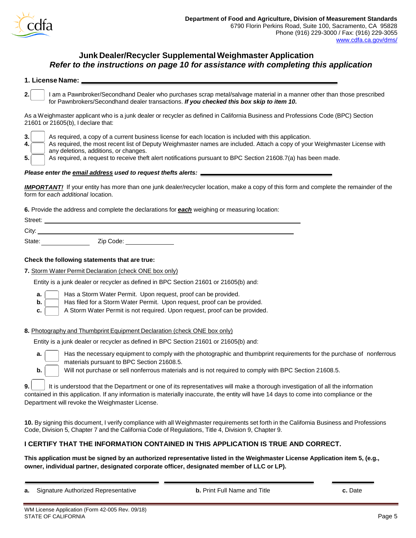

### **Junk Dealer/Recycler SupplementalWeighmaster Application** *Refer to the instructions on page 10 for assistance with completing this application*

| 1. License Name: |  |
|------------------|--|
|                  |  |

**2.** I am a Pawnbroker/Secondhand Dealer who purchases scrap metal/salvage material in a manner other than those prescribed for Pawnbrokers/Secondhand dealer transactions. *If you checked this box skip to item 10***.**

As a Weighmaster applicant who is a junk dealer or recycler as defined in California Business and Professions Code (BPC) Section 21601 or 21605(b), I declare that:

**3.** As required, a copy of a current business license for each location is included with this application. **4.** As required, the most recent list of Deputy Weighmaster names are included. Attach a copy of your Weighmaster License with any deletions, additions, or changes.

**5.** As required, a request to receive theft alert notifications pursuant to BPC Section 21608.7(a) has been made.

#### *Please enter the email address used to request thefts alerts:*

*IMPORTANT!* If your entity has more than one junk dealer/recycler location, make a copy of this form and complete the remainder of the form for *each additional* location.

**6.** Provide the address and complete the declarations for *each* weighing or measuring location:

| Street: |           |  |
|---------|-----------|--|
| City:   |           |  |
| State:  | Zip Code: |  |

#### **Check the following statements that are true:**

**7.** Storm Water Permit Declaration (check ONE box only)

Entity is a junk dealer or recycler as defined in BPC Section 21601 or 21605(b) and:

- **a.**  $\Box$  Has a Storm Water Permit. Upon request, proof can be provided.
- **b.**  $\begin{bmatrix} \cdot & \cdot \\ \cdot & \cdot \end{bmatrix}$  Has filed for a Storm Water Permit. Upon request, proof can be provided.
- **c.** | A Storm Water Permit is not required. Upon request, proof can be provided.

#### **8.** Photography and Thumbprint Equipment Declaration (check ONE box only)

Entity is a junk dealer or recycler as defined in BPC Section 21601 or 21605(b) and:

| a. I | Has the necessary equipment to comply with the photographic and thumbprint requirements for the purchase of nonferrous |  |
|------|------------------------------------------------------------------------------------------------------------------------|--|
|      | $\sim$ materials pursuant to BPC Section 21608.5.                                                                      |  |

**b.** Will not purchase or sell nonferrous materials and is not required to comply with BPC Section 21608.5.

**9.** It is understood that the Department or one of its representatives will make a thorough investigation of all the information contained in this application. If any information is materially inaccurate, the entity will have 14 days to come into compliance or the Department will revoke the Weighmaster License.

**10.** By signing this document, I verify compliance with all Weighmaster requirements set forth in the California Business and Professions Code, Division 5, Chapter 7 and the California Code of Regulations, Title 4, Division 9, Chapter 9.

#### **I CERTIFY THAT THE INFORMATION CONTAINED IN THIS APPLICATION IS TRUE AND CORRECT.**

**This application must be signed by an authorized representative listed in the Weighmaster License Application item 5, (e.g., owner, individual partner, designated corporate officer, designated member of LLC or LP).**

**a.** Signature Authorized Representative **b.** Print Full Name and Title **c.** Date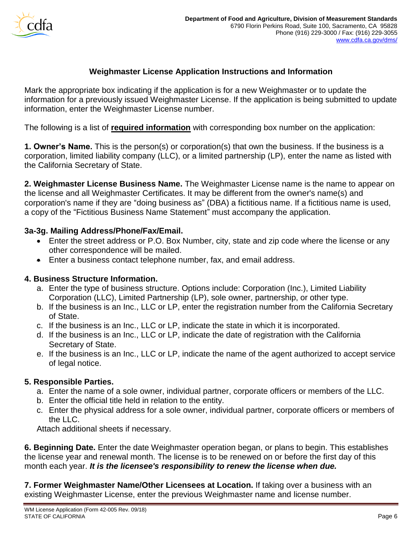

## **Weighmaster License Application Instructions and Information**

Mark the appropriate box indicating if the application is for a new Weighmaster or to update the information for a previously issued Weighmaster License. If the application is being submitted to update information, enter the Weighmaster License number.

The following is a list of **required information** with corresponding box number on the application:

**1. Owner's Name.** This is the person(s) or corporation(s) that own the business. If the business is a corporation, limited liability company (LLC), or a limited partnership (LP), enter the name as listed with the California Secretary of State.

**2. Weighmaster License Business Name.** The Weighmaster License name is the name to appear on the license and all Weighmaster Certificates. It may be different from the owner's name(s) and corporation's name if they are "doing business as" (DBA) a fictitious name. If a fictitious name is used, a copy of the "Fictitious Business Name Statement" must accompany the application.

### **3a-3g. Mailing Address/Phone/Fax/Email.**

- Enter the street address or P.O. Box Number, city, state and zip code where the license or any other correspondence will be mailed.
- Enter a business contact telephone number, fax, and email address.

### **4. Business Structure Information.**

- a. Enter the type of business structure. Options include: Corporation (Inc.), Limited Liability Corporation (LLC), Limited Partnership (LP), sole owner, partnership, or other type.
- b. If the business is an Inc., LLC or LP, enter the registration number from the California Secretary of State.
- c. If the business is an Inc., LLC or LP, indicate the state in which it is incorporated.
- d. If the business is an Inc., LLC or LP, indicate the date of registration with the California Secretary of State.
- e. If the business is an Inc., LLC or LP, indicate the name of the agent authorized to accept service of legal notice.

### **5. Responsible Parties.**

- a. Enter the name of a sole owner, individual partner, corporate officers or members of the LLC.
- b. Enter the official title held in relation to the entity.
- c. Enter the physical address for a sole owner, individual partner, corporate officers or members of the LLC.

Attach additional sheets if necessary.

**6. Beginning Date.** Enter the date Weighmaster operation began, or plans to begin. This establishes the license year and renewal month. The license is to be renewed on or before the first day of this month each year. *It is the licensee's responsibility to renew the license when due.*

**7. Former Weighmaster Name/Other Licensees at Location.** If taking over a business with an existing Weighmaster License, enter the previous Weighmaster name and license number.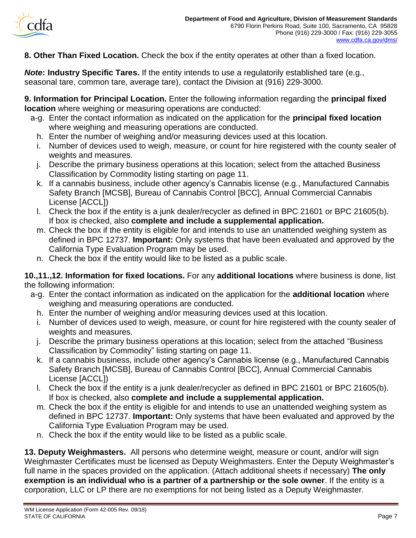

**8. Other Than Fixed Location.** Check the box if the entity operates at other than a fixed location.

*Note***: Industry Specific Tares.** If the entity intends to use a regulatorily established tare (e.g., seasonal tare, common tare, average tare), contact the Division at (916) 229-3000.

**9. Information for Principal Location.** Enter the following information regarding the **principal fixed location** where weighing or measuring operations are conducted:

- a-g. Enter the contact information as indicated on the application for the **principal fixed location** where weighing and measuring operations are conducted.
	- h. Enter the number of weighing and/or measuring devices used at this location.
	- i. Number of devices used to weigh, measure, or count for hire registered with the county sealer of weights and measures.
	- j. Describe the primary business operations at this location; select from the attached Business Classification by Commodity listing starting on page 11.
	- k. If a cannabis business, include other agency's Cannabis license (e.g., Manufactured Cannabis Safety Branch [MCSB], Bureau of Cannabis Control [BCC], Annual Commercial Cannabis License [ACCL])
	- l. Check the box if the entity is a junk dealer/recycler as defined in BPC 21601 or BPC 21605(b). If box is checked, also **complete and include a supplemental application.**
	- m. Check the box if the entity is eligible for and intends to use an unattended weighing system as defined in BPC 12737. **Important:** Only systems that have been evaluated and approved by the California Type Evaluation Program may be used.
	- n. Check the box if the entity would like to be listed as a public scale.

**10.,11.,12. Information for fixed locations.** For any **additional locations** where business is done, list the following information:

- a-g. Enter the contact information as indicated on the application for the **additional location** where weighing and measuring operations are conducted.
	- h. Enter the number of weighing and/or measuring devices used at this location.
	- i. Number of devices used to weigh, measure, or count for hire registered with the county sealer of weights and measures.
	- j. Describe the primary business operations at this location; select from the attached "Business Classification by Commodity" listing starting on page 11.
	- k. If a cannabis business, include other agency's Cannabis license (e.g., Manufactured Cannabis Safety Branch [MCSB], Bureau of Cannabis Control [BCC], Annual Commercial Cannabis License [ACCL])
	- l. Check the box if the entity is a junk dealer/recycler as defined in BPC 21601 or BPC 21605(b). If box is checked, also **complete and include a supplemental application.**
	- m. Check the box if the entity is eligible for and intends to use an unattended weighing system as defined in BPC 12737. **Important:** Only systems that have been evaluated and approved by the California Type Evaluation Program may be used.
	- n. Check the box if the entity would like to be listed as a public scale.

**13. Deputy Weighmasters.** All persons who determine weight, measure or count, and/or will sign Weighmaster Certificates must be licensed as Deputy Weighmasters. Enter the Deputy Weighmaster's full name in the spaces provided on the application. (Attach additional sheets if necessary) **The only exemption is an individual who is a partner of a partnership or the sole owner**. If the entity is a corporation, LLC or LP there are no exemptions for not being listed as a Deputy Weighmaster.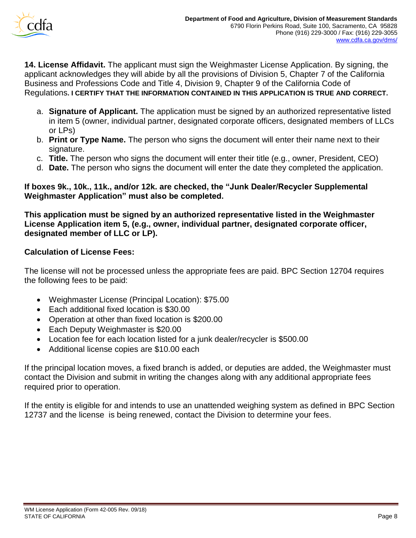

**14. License Affidavit.** The applicant must sign the Weighmaster License Application. By signing, the applicant acknowledges they will abide by all the provisions of Division 5, Chapter 7 of the California Business and Professions Code and Title 4, Division 9, Chapter 9 of the California Code of Regulations**. I CERTIFY THAT THE INFORMATION CONTAINED IN THIS APPLICATION IS TRUE AND CORRECT.**

- a. **Signature of Applicant.** The application must be signed by an authorized representative listed in item 5 (owner, individual partner, designated corporate officers, designated members of LLCs or LPs)
- b. **Print or Type Name.** The person who signs the document will enter their name next to their signature.
- c. **Title.** The person who signs the document will enter their title (e.g., owner, President, CEO)
- d. **Date.** The person who signs the document will enter the date they completed the application.

### **If boxes 9k., 10k., 11k., and/or 12k. are checked, the "Junk Dealer/Recycler Supplemental Weighmaster Application" must also be completed.**

**This application must be signed by an authorized representative listed in the Weighmaster License Application item 5, (e.g., owner, individual partner, designated corporate officer, designated member of LLC or LP).**

### **Calculation of License Fees:**

The license will not be processed unless the appropriate fees are paid. BPC Section 12704 requires the following fees to be paid:

- Weighmaster License (Principal Location): \$75.00
- Each additional fixed location is \$30.00
- Operation at other than fixed location is \$200.00
- Each Deputy Weighmaster is \$20.00
- Location fee for each location listed for a junk dealer/recycler is \$500.00
- Additional license copies are \$10.00 each

If the principal location moves, a fixed branch is added, or deputies are added, the Weighmaster must contact the Division and submit in writing the changes along with any additional appropriate fees required prior to operation.

If the entity is eligible for and intends to use an unattended weighing system as defined in BPC Section 12737 and the license is being renewed, contact the Division to determine your fees.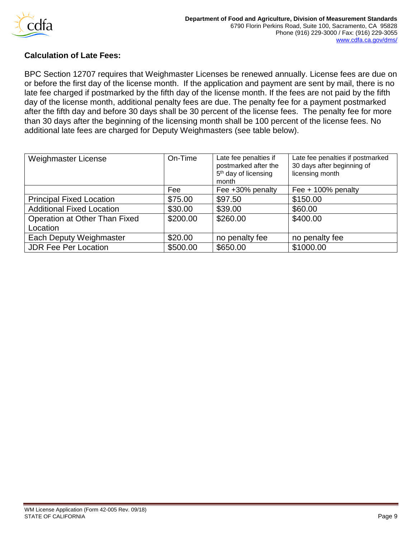

### **Calculation of Late Fees:**

BPC Section 12707 requires that Weighmaster Licenses be renewed annually. License fees are due on or before the first day of the license month. If the application and payment are sent by mail, there is no late fee charged if postmarked by the fifth day of the license month. If the fees are not paid by the fifth day of the license month, additional penalty fees are due. The penalty fee for a payment postmarked after the fifth day and before 30 days shall be 30 percent of the license fees. The penalty fee for more than 30 days after the beginning of the licensing month shall be 100 percent of the license fees. No additional late fees are charged for Deputy Weighmasters (see table below).

| Weighmaster License              | On-Time  | Late fee penalties if<br>postmarked after the<br>5 <sup>th</sup> day of licensing<br>month | Late fee penalties if postmarked<br>30 days after beginning of<br>licensing month |
|----------------------------------|----------|--------------------------------------------------------------------------------------------|-----------------------------------------------------------------------------------|
|                                  | Fee      | Fee +30% penalty                                                                           | Fee $+$ 100% penalty                                                              |
| <b>Principal Fixed Location</b>  | \$75.00  | \$97.50                                                                                    | \$150.00                                                                          |
| <b>Additional Fixed Location</b> | \$30.00  | \$39.00                                                                                    | \$60.00                                                                           |
| Operation at Other Than Fixed    | \$200.00 | \$260.00                                                                                   | \$400.00                                                                          |
| Location                         |          |                                                                                            |                                                                                   |
| Each Deputy Weighmaster          | \$20.00  | no penalty fee                                                                             | no penalty fee                                                                    |
| <b>JDR Fee Per Location</b>      | \$500.00 | \$650.00                                                                                   | \$1000.00                                                                         |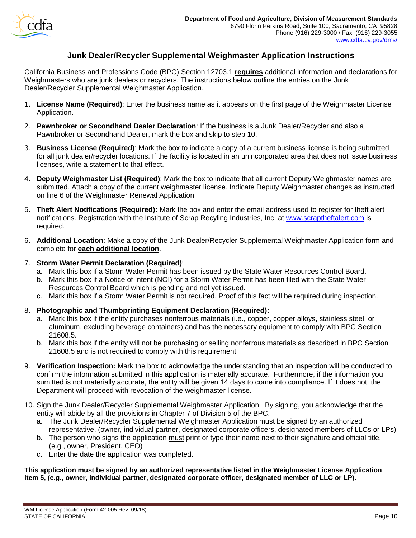

### **Junk Dealer/Recycler Supplemental Weighmaster Application Instructions**

California Business and Professions Code (BPC) Section 12703.1 **requires** additional information and declarations for Weighmasters who are junk dealers or recyclers. The instructions below outline the entries on the Junk Dealer/Recycler Supplemental Weighmaster Application.

- 1. **License Name (Required)**: Enter the business name as it appears on the first page of the Weighmaster License Application.
- 2. **Pawnbroker or Secondhand Dealer Declaration**: If the business is a Junk Dealer/Recycler and also a Pawnbroker or Secondhand Dealer, mark the box and skip to step 10.
- 3. **Business License (Required)**: Mark the box to indicate a copy of a current business license is being submitted for all junk dealer/recycler locations. If the facility is located in an unincorporated area that does not issue business licenses, write a statement to that effect.
- 4. **Deputy Weighmaster List (Required)**: Mark the box to indicate that all current Deputy Weighmaster names are submitted. Attach a copy of the current weighmaster license. Indicate Deputy Weighmaster changes as instructed on line 6 of the Weighmaster Renewal Application.
- 5. **Theft Alert Notifications (Required):** Mark the box and enter the email address used to register for theft alert notifications. Registration with the Institute of Scrap Recyling Industries, Inc. at [www.scraptheftalert.com](http://www.scraptheftalert.com/) is required.
- 6. **Additional Location**: Make a copy of the Junk Dealer/Recycler Supplemental Weighmaster Application form and complete for **each additional location**.

#### 7. **Storm Water Permit Declaration (Required)**:

- a. Mark this box if a Storm Water Permit has been issued by the State Water Resources Control Board.
- b. Mark this box if a Notice of Intent (NOI) for a Storm Water Permit has been filed with the State Water Resources Control Board which is pending and not yet issued.
- c. Mark this box if a Storm Water Permit is not required. Proof of this fact will be required during inspection.

### 8. **Photographic and Thumbprinting Equipment Declaration (Required):**

- a. Mark this box if the entity purchases nonferrous materials (i.e., copper, copper alloys, stainless steel, or aluminum, excluding beverage containers) and has the necessary equipment to comply with BPC Section 21608.5.
- b. Mark this box if the entity will not be purchasing or selling nonferrous materials as described in BPC Section 21608.5 and is not required to comply with this requirement.
- 9. **Verification Inspection:** Mark the box to acknowledge the understanding that an inspection will be conducted to confirm the information submitted in this application is materially accurate. Furthermore, if the information you sumitted is not materially accurate, the entity will be given 14 days to come into compliance. If it does not, the Department will proceed with revocation of the weighmaster license.
- 10. Sign the Junk Dealer/Recycler Supplemental Weighmaster Application. By signing, you acknowledge that the entity will abide by all the provisions in Chapter 7 of Division 5 of the BPC.
	- a. The Junk Dealer/Recycler Supplemental Weighmaster Application must be signed by an authorized representative. (owner, individual partner, designated corporate officers, designated members of LLCs or LPs)
	- b. The person who signs the application must print or type their name next to their signature and official title. (e.g., owner, President, CEO)
	- c. Enter the date the application was completed.

**This application must be signed by an authorized representative listed in the Weighmaster License Application item 5, (e.g., owner, individual partner, designated corporate officer, designated member of LLC or LP).**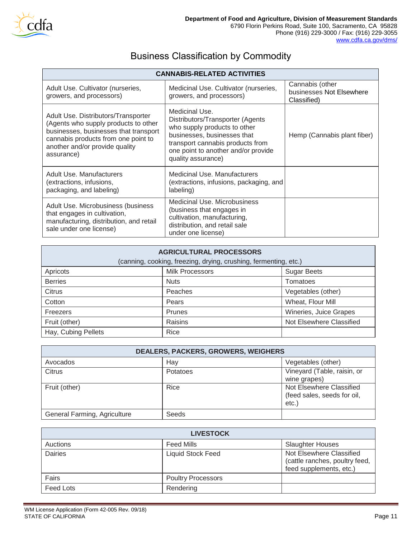

# Business Classification by Commodity

| <b>CANNABIS-RELATED ACTIVITIES</b>                                                                                                                                                                          |                                                                                                                                                                                                                    |                                                            |  |  |  |
|-------------------------------------------------------------------------------------------------------------------------------------------------------------------------------------------------------------|--------------------------------------------------------------------------------------------------------------------------------------------------------------------------------------------------------------------|------------------------------------------------------------|--|--|--|
| Adult Use. Cultivator (nurseries,<br>growers, and processors)                                                                                                                                               | Medicinal Use. Cultivator (nurseries,<br>growers, and processors)                                                                                                                                                  | Cannabis (other<br>businesses Not Elsewhere<br>Classified) |  |  |  |
| Adult Use. Distributors/Transporter<br>(Agents who supply products to other<br>businesses, businesses that transport<br>cannabis products from one point to<br>another and/or provide quality<br>assurance) | Medicinal Use.<br>Distributors/Transporter (Agents<br>who supply products to other<br>businesses, businesses that<br>transport cannabis products from<br>one point to another and/or provide<br>quality assurance) | Hemp (Cannabis plant fiber)                                |  |  |  |
| Adult Use, Manufacturers<br>(extractions, infusions,<br>packaging, and labeling)                                                                                                                            | Medicinal Use, Manufacturers<br>(extractions, infusions, packaging, and<br>labeling)                                                                                                                               |                                                            |  |  |  |
| Adult Use. Microbusiness (business<br>that engages in cultivation,<br>manufacturing, distribution, and retail<br>sale under one license)                                                                    | Medicinal Use. Microbusiness<br>(business that engages in<br>cultivation, manufacturing,<br>distribution, and retail sale<br>under one license)                                                                    |                                                            |  |  |  |

| <b>AGRICULTURAL PROCESSORS</b><br>(canning, cooking, freezing, drying, crushing, fermenting, etc.) |               |                          |  |
|----------------------------------------------------------------------------------------------------|---------------|--------------------------|--|
| <b>Milk Processors</b><br><b>Sugar Beets</b><br>Apricots                                           |               |                          |  |
| <b>Berries</b>                                                                                     | <b>Nuts</b>   | Tomatoes                 |  |
| <b>Citrus</b>                                                                                      | Peaches       | Vegetables (other)       |  |
| Cotton                                                                                             | Pears         | Wheat, Flour Mill        |  |
| Freezers                                                                                           | <b>Prunes</b> | Wineries, Juice Grapes   |  |
| Fruit (other)                                                                                      | Raisins       | Not Elsewhere Classified |  |
| Hay, Cubing Pellets                                                                                | Rice          |                          |  |

| <b>DEALERS, PACKERS, GROWERS, WEIGHERS</b> |          |                                                                 |
|--------------------------------------------|----------|-----------------------------------------------------------------|
| Avocados                                   | Hay      | Vegetables (other)                                              |
| Citrus                                     | Potatoes | Vineyard (Table, raisin, or<br>wine grapes)                     |
| Fruit (other)                              | Rice     | Not Elsewhere Classified<br>(feed sales, seeds for oil,<br>etc. |
| General Farming, Agriculture               | Seeds    |                                                                 |

| <b>LIVESTOCK</b> |                           |                                                                                       |
|------------------|---------------------------|---------------------------------------------------------------------------------------|
| Auctions         | <b>Feed Mills</b>         | <b>Slaughter Houses</b>                                                               |
| <b>Dairies</b>   | <b>Liquid Stock Feed</b>  | Not Elsewhere Classified<br>(cattle ranches, poultry feed,<br>feed supplements, etc.) |
| Fairs            | <b>Poultry Processors</b> |                                                                                       |
| Feed Lots        | Rendering                 |                                                                                       |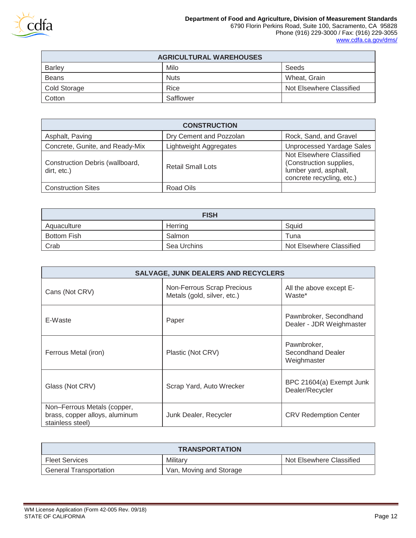

 $\blacksquare$ 

| <b>AGRICULTURAL WAREHOUSES</b> |             |                          |  |
|--------------------------------|-------------|--------------------------|--|
| Barley                         | Milo        | Seeds                    |  |
| <b>Beans</b>                   | <b>Nuts</b> | Wheat, Grain             |  |
| Cold Storage                   | Rice        | Not Elsewhere Classified |  |
| Cotton                         | Safflower   |                          |  |

| <b>CONSTRUCTION</b>                            |                               |                                                                                                           |
|------------------------------------------------|-------------------------------|-----------------------------------------------------------------------------------------------------------|
| Asphalt, Paving                                | Dry Cement and Pozzolan       | Rock, Sand, and Gravel                                                                                    |
| Concrete, Gunite, and Ready-Mix                | <b>Lightweight Aggregates</b> | <b>Unprocessed Yardage Sales</b>                                                                          |
| Construction Debris (wallboard,<br>dirt, etc.) | Retail Small Lots             | Not Elsewhere Classified<br>(Construction supplies,<br>lumber yard, asphalt,<br>concrete recycling, etc.) |
| <b>Construction Sites</b>                      | Road Oils                     |                                                                                                           |

| <b>FISH</b>        |             |                          |
|--------------------|-------------|--------------------------|
| Aquaculture        | Herring     | Sauid                    |
| <b>Bottom Fish</b> | Salmon      | Tuna                     |
| Crab               | Sea Urchins | Not Elsewhere Classified |

| <b>SALVAGE, JUNK DEALERS AND RECYCLERS</b>                                        |                                                           |                                                    |
|-----------------------------------------------------------------------------------|-----------------------------------------------------------|----------------------------------------------------|
| Cans (Not CRV)                                                                    | Non-Ferrous Scrap Precious<br>Metals (gold, silver, etc.) | All the above except E-<br>Waste*                  |
| E-Waste                                                                           | Paper                                                     | Pawnbroker, Secondhand<br>Dealer - JDR Weighmaster |
| Ferrous Metal (iron)                                                              | Plastic (Not CRV)                                         | Pawnbroker,<br>Secondhand Dealer<br>Weighmaster    |
| Glass (Not CRV)                                                                   | Scrap Yard, Auto Wrecker                                  | BPC 21604(a) Exempt Junk<br>Dealer/Recycler        |
| Non-Ferrous Metals (copper,<br>brass, copper alloys, aluminum<br>stainless steel) | Junk Dealer, Recycler                                     | <b>CRV Redemption Center</b>                       |

| <b>TRANSPORTATION</b>         |                         |                          |
|-------------------------------|-------------------------|--------------------------|
| <b>Fleet Services</b>         | Militarv                | Not Elsewhere Classified |
| <b>General Transportation</b> | Van, Moving and Storage |                          |